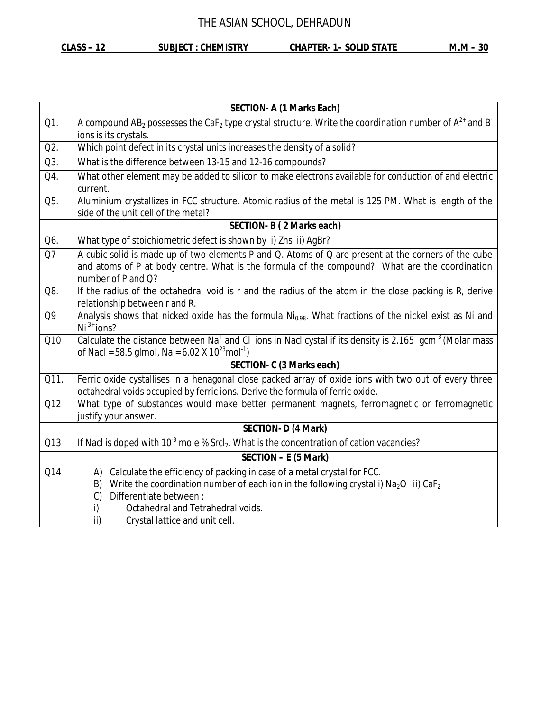**CLASS – 12 SUBJECT : CHEMISTRY CHAPTER- 1– SOLID STATE M.M – 30**

|      | <b>SECTION- A (1 Marks Each)</b>                                                                                                                                                                                           |  |  |  |
|------|----------------------------------------------------------------------------------------------------------------------------------------------------------------------------------------------------------------------------|--|--|--|
| Q1.  | A compound AB <sub>2</sub> possesses the CaF <sub>2</sub> type crystal structure. Write the coordination number of $A^{2+}$ and B <sup>-</sup><br>ions is its crystals.                                                    |  |  |  |
| Q2.  | Which point defect in its crystal units increases the density of a solid?                                                                                                                                                  |  |  |  |
| Q3.  | What is the difference between 13-15 and 12-16 compounds?                                                                                                                                                                  |  |  |  |
| Q4.  | What other element may be added to silicon to make electrons available for conduction of and electric<br>current.                                                                                                          |  |  |  |
| Q5.  | Aluminium crystallizes in FCC structure. Atomic radius of the metal is 125 PM. What is length of the<br>side of the unit cell of the metal?                                                                                |  |  |  |
|      | <b>SECTION-B (2 Marks each)</b>                                                                                                                                                                                            |  |  |  |
| Q6.  | What type of stoichiometric defect is shown by i) Zns ii) AgBr?                                                                                                                                                            |  |  |  |
| Q7   | A cubic solid is made up of two elements P and Q. Atoms of Q are present at the corners of the cube<br>and atoms of P at body centre. What is the formula of the compound? What are the coordination<br>number of P and Q? |  |  |  |
| Q8.  | If the radius of the octahedral void is r and the radius of the atom in the close packing is R, derive<br>relationship between r and R.                                                                                    |  |  |  |
| Q9   | Analysis shows that nicked oxide has the formula Ni <sub>0.98</sub> . What fractions of the nickel exist as Ni and<br>$Ni3+ ions?$                                                                                         |  |  |  |
| Q10  | Calculate the distance between Na <sup>+</sup> and Cl <sup>-</sup> ions in Nacl cystal if its density is 2.165 gcm <sup>-3</sup> (Molar mass<br>of Nacl = 58.5 glmol, Na = 6.02 X $10^{23}$ mol <sup>-1</sup> )            |  |  |  |
|      | SECTION- C (3 Marks each)                                                                                                                                                                                                  |  |  |  |
| Q11. | Ferric oxide cystallises in a henagonal close packed array of oxide ions with two out of every three<br>octahedral voids occupied by ferric ions. Derive the formula of ferric oxide.                                      |  |  |  |
| Q12  | What type of substances would make better permanent magnets, ferromagnetic or ferromagnetic<br>justify your answer.                                                                                                        |  |  |  |
|      | <b>SECTION- D (4 Mark)</b>                                                                                                                                                                                                 |  |  |  |
| Q13  | If Nacl is doped with $10^{-3}$ mole % Srcl <sub>2</sub> . What is the concentration of cation vacancies?                                                                                                                  |  |  |  |
|      | SECTION - E (5 Mark)                                                                                                                                                                                                       |  |  |  |
| Q14  | Calculate the efficiency of packing in case of a metal crystal for FCC.<br>A)                                                                                                                                              |  |  |  |
|      | Write the coordination number of each ion in the following crystal i) $Na2O$ ii) $CaF2$<br>B)                                                                                                                              |  |  |  |
|      | Differentiate between:<br>$\mathcal{C}$                                                                                                                                                                                    |  |  |  |
|      | Octahedral and Tetrahedral voids.<br>i)                                                                                                                                                                                    |  |  |  |
|      | ii)<br>Crystal lattice and unit cell.                                                                                                                                                                                      |  |  |  |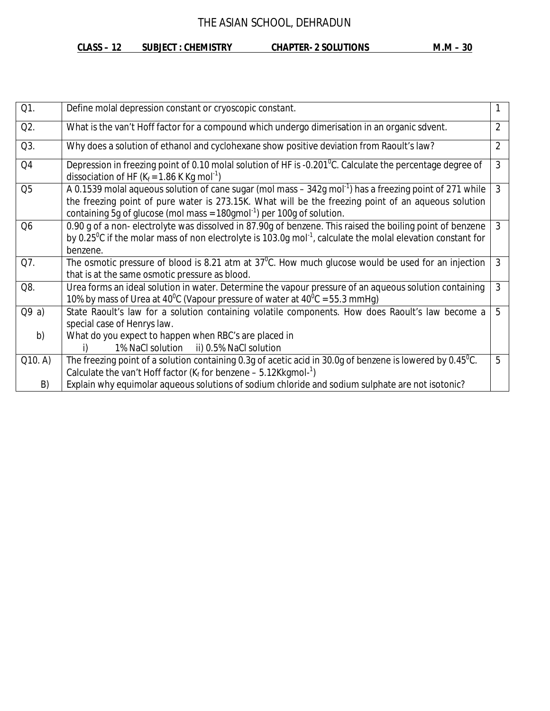#### **CLASS – 12 SUBJECT : CHEMISTRY CHAPTER- 2 SOLUTIONS M.M – 30**

| M.M |  |  | 30 |
|-----|--|--|----|
|-----|--|--|----|

| Q1.            | Define molal depression constant or cryoscopic constant.                                                                                                                                                                                                                                                                    |                |  |  |
|----------------|-----------------------------------------------------------------------------------------------------------------------------------------------------------------------------------------------------------------------------------------------------------------------------------------------------------------------------|----------------|--|--|
| Q2.            | What is the van't Hoff factor for a compound which undergo dimerisation in an organic sdvent.<br>2                                                                                                                                                                                                                          |                |  |  |
| Q3.            | Why does a solution of ethanol and cyclohexane show positive deviation from Raoult's law?                                                                                                                                                                                                                                   | $\overline{2}$ |  |  |
| Q <sub>4</sub> | Depression in freezing point of 0.10 molal solution of HF is -0.201 <sup>o</sup> C. Calculate the percentage degree of<br>dissociation of HF ( $K_f$ = 1.86 K Kg mol <sup>-1</sup> )                                                                                                                                        | 3              |  |  |
| Q <sub>5</sub> | A 0.1539 molal aqueous solution of cane sugar (mol mass $-$ 342g mol <sup>-1</sup> ) has a freezing point of 271 while<br>3<br>the freezing point of pure water is 273.15K. What will be the freezing point of an aqueous solution<br>containing 5g of glucose (mol mass = $180$ gmol <sup>-1</sup> ) per 100g of solution. |                |  |  |
| Q <sub>6</sub> | 0.90 g of a non-electrolyte was dissolved in 87.90g of benzene. This raised the boiling point of benzene<br>$\mathbf{3}$<br>by 0.25 <sup>o</sup> C if the molar mass of non electrolyte is 103.0g mol <sup>-1</sup> , calculate the molal elevation constant for<br>benzene.                                                |                |  |  |
| Q7.            | The osmotic pressure of blood is 8.21 atm at $37^{\circ}$ C. How much glucose would be used for an injection<br>that is at the same osmotic pressure as blood.                                                                                                                                                              | 3              |  |  |
| Q8.            | Urea forms an ideal solution in water. Determine the vapour pressure of an aqueous solution containing<br>10% by mass of Urea at 40 <sup>o</sup> C (Vapour pressure of water at $40^{\circ}$ C = 55.3 mmHg)                                                                                                                 | $\mathfrak{Z}$ |  |  |
| Q9a)           | State Raoult's law for a solution containing volatile components. How does Raoult's law become a<br>5<br>special case of Henrys law.                                                                                                                                                                                        |                |  |  |
| b)             | What do you expect to happen when RBC's are placed in<br>1% NaCl solution ii) 0.5% NaCl solution<br>i)                                                                                                                                                                                                                      |                |  |  |
| Q10. A)        | The freezing point of a solution containing 0.3g of acetic acid in 30.0g of benzene is lowered by 0.45 <sup>o</sup> C.<br>Calculate the van't Hoff factor ( $K_f$ for benzene – 5.12Kkgmol- <sup>1</sup> )                                                                                                                  | 5              |  |  |
| B)             | Explain why equimolar aqueous solutions of sodium chloride and sodium sulphate are not isotonic?                                                                                                                                                                                                                            |                |  |  |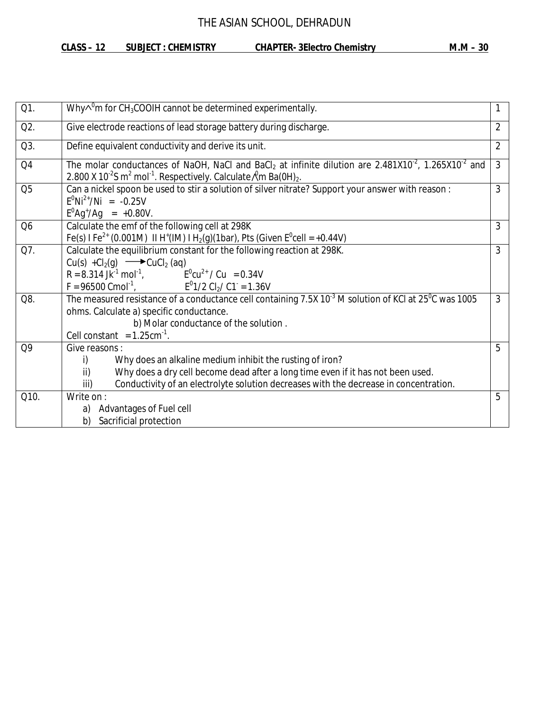### **CLASS – 12 SUBJECT : CHEMISTRY CHAPTER- 3Electro Chemistry M.M – 30**

| Q1.            | Why $\wedge^0$ m for CH <sub>3</sub> COOIH cannot be determined experimentally.                                                                                                                                                                                            |   |  |  |  |
|----------------|----------------------------------------------------------------------------------------------------------------------------------------------------------------------------------------------------------------------------------------------------------------------------|---|--|--|--|
| Q2.            | Give electrode reactions of lead storage battery during discharge.<br>2                                                                                                                                                                                                    |   |  |  |  |
| Q3.            | $\overline{2}$<br>Define equivalent conductivity and derive its unit.                                                                                                                                                                                                      |   |  |  |  |
| Q <sub>4</sub> | The molar conductances of NaOH, NaCl and BaCl <sub>2</sub> at infinite dilution are $2.\overline{481X10^2}$ , 1.265X10 <sup>-2</sup> and<br>2.800 X 10 <sup>-2</sup> S m <sup>2</sup> mol <sup>-1</sup> . Respectively. Calculate $\ell$ m Ba(0H) <sub>2</sub> .           | 3 |  |  |  |
| Q <sub>5</sub> | Can a nickel spoon be used to stir a solution of silver nitrate? Support your answer with reason :<br>3<br>$E^{0}Ni^{2+}/Ni = -0.25V$<br>$E^{0}$ Ag <sup>+</sup> /Ag = +0.80V.                                                                                             |   |  |  |  |
| Q <sub>6</sub> | Calculate the emf of the following cell at 298K<br>Fe(s) I Fe <sup>2+</sup> (0.001M) II H <sup>+</sup> (IM) I H <sub>2</sub> (g)(1bar), Pts (Given E <sup>0</sup> cell = +0.44V)                                                                                           | 3 |  |  |  |
| Q7.            | Calculate the equilibrium constant for the following reaction at 298K.<br>$Cu(s) + Cl2(g) \longrightarrow CuCl2(aq)$<br>R = 8.314 Jk <sup>-1</sup> mol <sup>-1</sup> , $E^{0}cu^{2+} / Cu = 0.34V$<br>F = 96500 Cmol <sup>-1</sup> , $E^{0}1/2 Cl_{2}/Cl = 1.36V$          | 3 |  |  |  |
| Q8.            | The measured resistance of a conductance cell containing 7.5X $10^{-3}$ M solution of KCI at 25 <sup>o</sup> C was 1005<br>ohms. Calculate a) specific conductance.<br>b) Molar conductance of the solution.<br>Cell constant = $1.25 \text{cm}^{-1}$ .                    | 3 |  |  |  |
| Q <sub>9</sub> | Give reasons:<br>Why does an alkaline medium inhibit the rusting of iron?<br>i)<br>Why does a dry cell become dead after a long time even if it has not been used.<br>ii)<br>Conductivity of an electrolyte solution decreases with the decrease in concentration.<br>iii) | 5 |  |  |  |
| Q10.           | Write on:<br>Advantages of Fuel cell<br>a)<br>Sacrificial protection<br>b)                                                                                                                                                                                                 | 5 |  |  |  |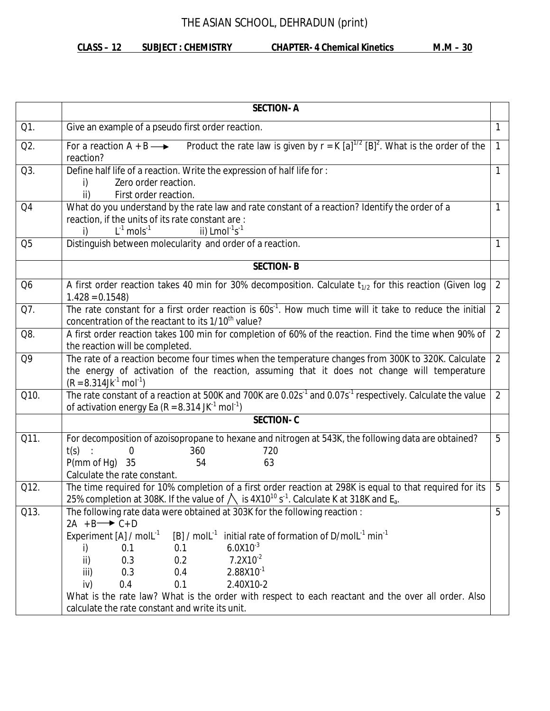# THE ASIAN SCHOOL, DEHRADUN (print)

### **CLASS – 12 SUBJECT : CHEMISTRY CHAPTER- 4 Chemical Kinetics M.M – 30**

| Q1.<br>Q2.<br>Q3. | Give an example of a pseudo first order reaction.<br>Product the rate law is given by $r = K [a]^{1/2} [B]^2$ . What is the order of the<br>For a reaction $A + B \longrightarrow$<br>reaction?<br>Define half life of a reaction. Write the expression of half life for :                                                                                                                                                                                                                                                                       | $\mathbf{1}$ |  |
|-------------------|--------------------------------------------------------------------------------------------------------------------------------------------------------------------------------------------------------------------------------------------------------------------------------------------------------------------------------------------------------------------------------------------------------------------------------------------------------------------------------------------------------------------------------------------------|--------------|--|
|                   |                                                                                                                                                                                                                                                                                                                                                                                                                                                                                                                                                  |              |  |
|                   |                                                                                                                                                                                                                                                                                                                                                                                                                                                                                                                                                  |              |  |
|                   | 1<br>Zero order reaction.<br>i)<br>First order reaction.<br>ii)                                                                                                                                                                                                                                                                                                                                                                                                                                                                                  |              |  |
| Q4                | What do you understand by the rate law and rate constant of a reaction? Identify the order of a<br>reaction, if the units of its rate constant are :<br>$L^{-1}$ mols <sup>-1</sup><br>ii) $Lmol^{-1}s^{-1}$<br>i)                                                                                                                                                                                                                                                                                                                               | 1            |  |
| Q <sub>5</sub>    | Distinguish between molecularity and order of a reaction.                                                                                                                                                                                                                                                                                                                                                                                                                                                                                        | 1            |  |
|                   | <b>SECTION-B</b>                                                                                                                                                                                                                                                                                                                                                                                                                                                                                                                                 |              |  |
| Q <sub>6</sub>    | A first order reaction takes 40 min for 30% decomposition. Calculate $t_{1/2}$ for this reaction (Given log<br>$1.428 = 0.1548$                                                                                                                                                                                                                                                                                                                                                                                                                  | 2            |  |
| Q7.               | The rate constant for a first order reaction is 60s <sup>-1</sup> . How much time will it take to reduce the initial<br>concentration of the reactant to its 1/10 <sup>th</sup> value?                                                                                                                                                                                                                                                                                                                                                           | 2            |  |
| Q8.               | A first order reaction takes 100 min for completion of 60% of the reaction. Find the time when 90% of<br>$\overline{2}$<br>the reaction will be completed.                                                                                                                                                                                                                                                                                                                                                                                       |              |  |
| Q9                | The rate of a reaction become four times when the temperature changes from 300K to 320K. Calculate<br>$\overline{2}$<br>the energy of activation of the reaction, assuming that it does not change will temperature<br>$(R = 8.314$ Jk <sup>-1</sup> mol <sup>-1</sup> )                                                                                                                                                                                                                                                                         |              |  |
| Q10.              | The rate constant of a reaction at 500K and 700K are 0.02s <sup>-1</sup> and 0.07s <sup>-1</sup> respectively. Calculate the value<br>of activation energy Ea ( $R = 8.314$ JK <sup>-1</sup> mol <sup>-1</sup> )                                                                                                                                                                                                                                                                                                                                 | 2            |  |
|                   | <b>SECTION-C</b>                                                                                                                                                                                                                                                                                                                                                                                                                                                                                                                                 |              |  |
| Q11.              | For decomposition of azoisopropane to hexane and nitrogen at 543K, the following data are obtained?<br>360<br>t(s)<br>0<br>720<br>P(mm of Hg)<br>35<br>63<br>54<br>Calculate the rate constant.                                                                                                                                                                                                                                                                                                                                                  | 5            |  |
| Q12.              | The time required for 10% completion of a first order reaction at 298K is equal to that required for its<br>25% completion at 308K. If the value of $\bigwedge$ is 4X10 <sup>10</sup> s <sup>-1</sup> . Calculate K at 318K and E <sub>a</sub> .                                                                                                                                                                                                                                                                                                 | 5            |  |
| Q13.              | The following rate data were obtained at 303K for the following reaction :<br>$2A + B \rightarrow C + D$<br>[B] / mol $L^{-1}$ initial rate of formation of D/mol $L^{-1}$ min <sup>-1</sup><br>Experiment $[A] / \text{mol}^{-1}$<br>$6.0X10^{-3}$<br>0.1<br>i)<br>0.1<br>$7.2X10^{-2}$<br>0.3<br>0.2<br>ii)<br>$2.88X10^{-1}$<br>0.3<br>0.4<br>iii)<br>0.4<br>0.1<br>2.40X10-2<br>iv)<br>What is the rate law? What is the order with respect to each reactant and the over all order. Also<br>calculate the rate constant and write its unit. | 5            |  |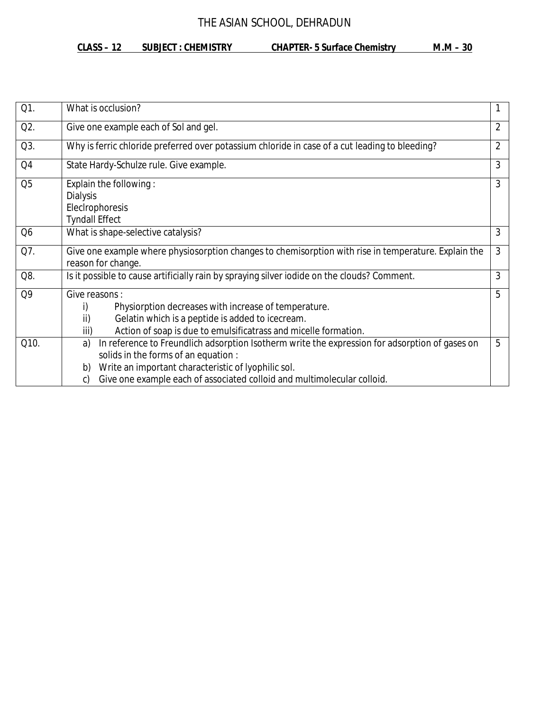#### **CLASS – 12 SUBJECT : CHEMISTRY CHAPTER- 5 Surface Chemistry M.M – 30**

| Q1.            | What is occlusion?                                                                                   |                |  |  |  |  |
|----------------|------------------------------------------------------------------------------------------------------|----------------|--|--|--|--|
| Q2.            | $\overline{2}$<br>Give one example each of Sol and gel.                                              |                |  |  |  |  |
| Q3.            | Why is ferric chloride preferred over potassium chloride in case of a cut leading to bleeding?       | $\overline{2}$ |  |  |  |  |
| Q <sub>4</sub> | State Hardy-Schulze rule. Give example.                                                              | 3              |  |  |  |  |
| Q <sub>5</sub> | Explain the following:<br><b>Dialysis</b>                                                            | 3              |  |  |  |  |
|                | ElecIrophoresis                                                                                      |                |  |  |  |  |
|                | <b>Tyndall Effect</b>                                                                                |                |  |  |  |  |
| Q <sub>6</sub> | 3<br>What is shape-selective catalysis?                                                              |                |  |  |  |  |
| Q7.            | Give one example where physiosorption changes to chemisorption with rise in temperature. Explain the | 3              |  |  |  |  |
|                | reason for change.                                                                                   |                |  |  |  |  |
| Q8.            | Is it possible to cause artificially rain by spraying silver iodide on the clouds? Comment.          | 3              |  |  |  |  |
| Q <sub>9</sub> | Give reasons:                                                                                        | 5              |  |  |  |  |
|                | Physiorption decreases with increase of temperature.<br>i)                                           |                |  |  |  |  |
|                | ii)<br>Gelatin which is a peptide is added to icecream.                                              |                |  |  |  |  |
|                | Action of soap is due to emulsificatrass and micelle formation.<br>iii)                              |                |  |  |  |  |
| Q10.           | In reference to Freundlich adsorption Isotherm write the expression for adsorption of gases on<br>a) | 5              |  |  |  |  |
|                | solids in the forms of an equation :                                                                 |                |  |  |  |  |
|                | Write an important characteristic of lyophilic sol.<br>b)                                            |                |  |  |  |  |
|                | Give one example each of associated colloid and multimolecular colloid.<br>C)                        |                |  |  |  |  |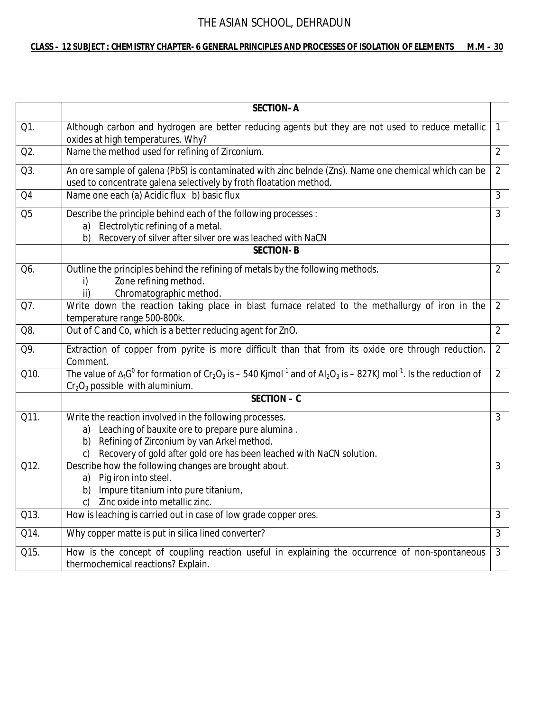#### **CLASS – 12 SUBJECT : CHEMISTRY CHAPTER- 6 GENERAL PRINCIPLES AND PROCESSES OF ISOLATION OF ELEMENTS M.M – 30**

|                | <b>SECTION-A</b>                                                                                                                                                                                                                                    |                |  |  |
|----------------|-----------------------------------------------------------------------------------------------------------------------------------------------------------------------------------------------------------------------------------------------------|----------------|--|--|
| Q1.            | Although carbon and hydrogen are better reducing agents but they are not used to reduce metallic<br>oxides at high temperatures. Why?                                                                                                               | $\mathbf{1}$   |  |  |
| Q2.            | Name the method used for refining of Zirconium.                                                                                                                                                                                                     |                |  |  |
| Q3.            | An ore sample of galena (PbS) is contaminated with zinc belnde (Zns). Name one chemical which can be<br>2<br>used to concentrate galena selectively by froth floatation method.                                                                     |                |  |  |
| Q4             | Name one each (a) Acidic flux b) basic flux                                                                                                                                                                                                         | 3              |  |  |
| Q <sub>5</sub> | Describe the principle behind each of the following processes :<br>a) Electrolytic refining of a metal.<br>Recovery of silver after silver ore was leached with NaCN<br>b)                                                                          | $\mathfrak{Z}$ |  |  |
|                | <b>SECTION-B</b>                                                                                                                                                                                                                                    |                |  |  |
| Q6.            | Outline the principles behind the refining of metals by the following methods.<br>Zone refining method.<br>i)<br>Chromatographic method.<br>ii)                                                                                                     | $\overline{2}$ |  |  |
| Q7.            | Write down the reaction taking place in blast furnace related to the methallurgy of iron in the<br>2<br>temperature range 500-800k.                                                                                                                 |                |  |  |
| Q8.            | Out of C and Co, which is a better reducing agent for ZnO.                                                                                                                                                                                          | $\overline{2}$ |  |  |
| Q9.            | Extraction of copper from pyrite is more difficult than that from its oxide ore through reduction.<br>$\overline{2}$<br>Comment.                                                                                                                    |                |  |  |
| Q10.           | The value of $\Delta_f G^0$ for formation of Cr <sub>2</sub> O <sub>3</sub> is – 540 Kimol <sup>-1</sup> and of Al <sub>2</sub> O <sub>3</sub> is – 827KJ mol <sup>-1</sup> . Is the reduction of<br>$Cr2O3$ possible with aluminium.               | $\overline{2}$ |  |  |
|                | SECTION - C                                                                                                                                                                                                                                         |                |  |  |
| Q11.           | Write the reaction involved in the following processes.<br>Leaching of bauxite ore to prepare pure alumina.<br>a)<br>Refining of Zirconium by van Arkel method.<br>b)<br>Recovery of gold after gold ore has been leached with NaCN solution.<br>C) | 3              |  |  |
| Q12.           | Describe how the following changes are brought about.<br>Pig iron into steel.<br>a)<br>Impure titanium into pure titanium,<br>b)<br>Zinc oxide into metallic zinc.<br>c)                                                                            | 3              |  |  |
| Q13.           | How is leaching is carried out in case of low grade copper ores.                                                                                                                                                                                    | 3              |  |  |
| Q14.           | Why copper matte is put in silica lined converter?                                                                                                                                                                                                  | $\overline{3}$ |  |  |
| Q15.           | How is the concept of coupling reaction useful in explaining the occurrence of non-spontaneous<br>thermochemical reactions? Explain.                                                                                                                | $\mathfrak{Z}$ |  |  |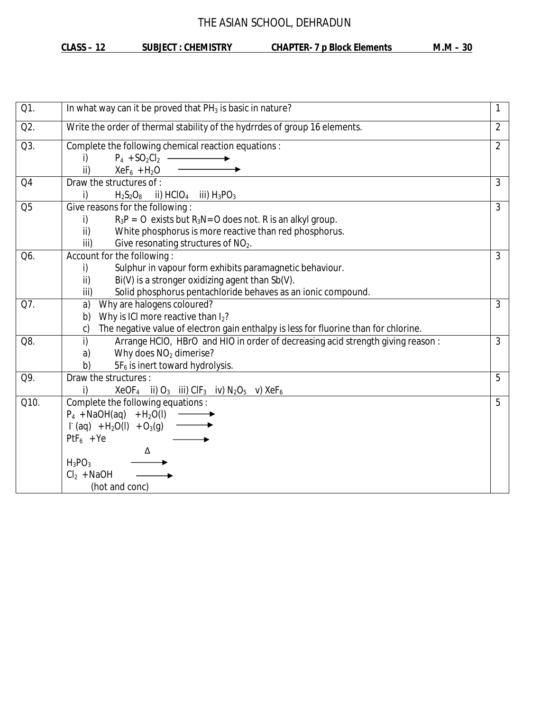#### **CLASS – 12 SUBJECT : CHEMISTRY CHAPTER- 7 p Block Elements M.M – 30**

| Q1.            | In what way can it be proved that $PH_3$ is basic in nature?<br>1                                            |                |  |  |  |
|----------------|--------------------------------------------------------------------------------------------------------------|----------------|--|--|--|
| Q2.            | Write the order of thermal stability of the hydrrdes of group 16 elements.                                   | $\overline{2}$ |  |  |  |
| Q3.            | Complete the following chemical reaction equations :                                                         |                |  |  |  |
|                | $P_4 + SO_2Cl_2$ -<br>i)                                                                                     |                |  |  |  |
|                | $XeF_6 + H_2O$<br>ii)                                                                                        |                |  |  |  |
| Q <sub>4</sub> | Draw the structures of :                                                                                     | $\mathfrak{Z}$ |  |  |  |
|                | i)<br>$H_2S_2O_8$ ii) HClO <sub>4</sub> iii) $H_3PO_3$                                                       |                |  |  |  |
| Q <sub>5</sub> | Give reasons for the following:                                                                              | 3              |  |  |  |
|                | i)<br>$R_3P = O$ exists but $R_3N = O$ does not. R is an alkyl group.                                        |                |  |  |  |
|                | ii)<br>White phosphorus is more reactive than red phosphorus.                                                |                |  |  |  |
|                | Give resonating structures of NO <sub>2</sub> .<br>iii)                                                      |                |  |  |  |
| Q6.            | Account for the following:                                                                                   | $\overline{3}$ |  |  |  |
|                | Sulphur in vapour form exhibits paramagnetic behaviour.<br>i)                                                |                |  |  |  |
|                | Bi(V) is a stronger oxidizing agent than Sb(V).<br>ii)                                                       |                |  |  |  |
|                | Solid phosphorus pentachloride behaves as an ionic compound.<br>iii)                                         |                |  |  |  |
| Q7.            | Why are halogens coloured?<br>a)                                                                             | $\overline{3}$ |  |  |  |
|                | Why is ICI more reactive than I <sub>2</sub> ?<br>b)                                                         |                |  |  |  |
|                | The negative value of electron gain enthalpy is less for fluorine than for chlorine.<br>C)                   |                |  |  |  |
| Q8.            | i)<br>Arrange HCIO, HBrO and HIO in order of decreasing acid strength giving reason:                         | $\mathfrak{Z}$ |  |  |  |
|                | Why does $NO2$ dimerise?<br>a)                                                                               |                |  |  |  |
|                | 5F <sub>6</sub> is inert toward hydrolysis.<br>b)                                                            |                |  |  |  |
| Q9.            | Draw the structures:                                                                                         | 5              |  |  |  |
|                | $XeOF4$ ii) O <sub>3</sub> iii) CIF <sub>3</sub> iv) N <sub>2</sub> O <sub>5</sub> v) XeF <sub>6</sub><br>i) |                |  |  |  |
| Q10.           | Complete the following equations :                                                                           | 5              |  |  |  |
|                | $P_4 + NaOH(aq) + H_2O(l)$                                                                                   |                |  |  |  |
|                | $\Gamma$ (aq) + H <sub>2</sub> O(I) + O <sub>3</sub> (g)                                                     |                |  |  |  |
|                | $PtF_6 + Ye$                                                                                                 |                |  |  |  |
|                | Δ                                                                                                            |                |  |  |  |
|                | $H_3PO_3$                                                                                                    |                |  |  |  |
|                | $Cl2 + NaOH$                                                                                                 |                |  |  |  |
|                | (hot and conc)                                                                                               |                |  |  |  |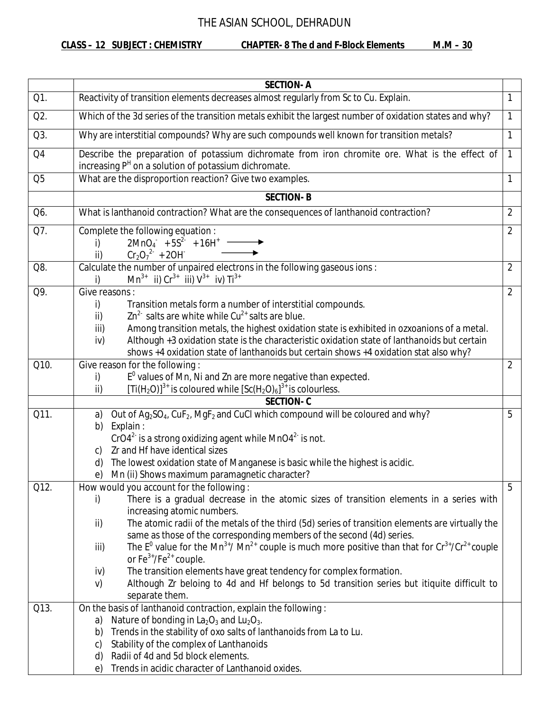**CLASS – 12 SUBJECT : CHEMISTRY CHAPTER- 8 The d and F-Block Elements M.M – 30**

|                | <b>SECTION-A</b>                                                                                                                                                                                                                                 |                |  |
|----------------|--------------------------------------------------------------------------------------------------------------------------------------------------------------------------------------------------------------------------------------------------|----------------|--|
| Q1.            | Reactivity of transition elements decreases almost regularly from Sc to Cu. Explain.                                                                                                                                                             | 1              |  |
| Q2.            | Which of the 3d series of the transition metals exhibit the largest number of oxidation states and why?                                                                                                                                          | 1              |  |
| Q3.            | Why are interstitial compounds? Why are such compounds well known for transition metals?<br>1                                                                                                                                                    |                |  |
| Q4             | Describe the preparation of potassium dichromate from iron chromite ore. What is the effect of<br>$\mathbf{1}$<br>increasing P <sup>H</sup> on a solution of potassium dichromate.                                                               |                |  |
| Q <sub>5</sub> | What are the disproportion reaction? Give two examples.                                                                                                                                                                                          | 1              |  |
|                | <b>SECTION-B</b>                                                                                                                                                                                                                                 |                |  |
| Q6.            | What is lanthanoid contraction? What are the consequences of lanthanoid contraction?                                                                                                                                                             | $\overline{2}$ |  |
| Q7.            | Complete the following equation :<br>$2MnO4 + 5S2 + 16H+$<br>i)<br>$Cr_2O_7^2$ + 20H<br>ii)                                                                                                                                                      | $\overline{2}$ |  |
| Q8.            | Calculate the number of unpaired electrons in the following gaseous ions :<br>$Mn^{3+}$ ii) $Cr^{3+}$ iii) $V^{3+}$ iv) $Ti^{3+}$                                                                                                                | $\overline{2}$ |  |
| Q9.            | Give reasons:<br>i)<br>Transition metals form a number of interstitial compounds.                                                                                                                                                                | $\overline{2}$ |  |
|                | $\text{Zn}^2$ salts are white while $\text{Cu}^{2+}$ salts are blue.<br>$\mathsf{ii}$                                                                                                                                                            |                |  |
|                | Among transition metals, the highest oxidation state is exhibited in ozxoanions of a metal.<br>iii)<br>Although +3 oxidation state is the characteristic oxidation state of lanthanoids but certain<br>iv)                                       |                |  |
|                | shows +4 oxidation state of lanthanoids but certain shows +4 oxidation stat also why?                                                                                                                                                            |                |  |
| Q10.           | Give reason for the following:                                                                                                                                                                                                                   | $\overline{2}$ |  |
|                | E <sup>0</sup> values of Mn, Ni and Zn are more negative than expected.<br>i)                                                                                                                                                                    |                |  |
|                | $[Ti(H2O)]3+$ is coloured while $[Sc(H2O)6]3+$ is colourless.<br>ii)<br><b>SECTION-C</b>                                                                                                                                                         |                |  |
| Q11.           | Out of Ag <sub>2</sub> SO <sub>4</sub> , CuF <sub>2</sub> , MgF <sub>2</sub> and CuCl which compound will be coloured and why?<br>a)                                                                                                             | 5              |  |
|                | Explain:<br>b)<br>CrO4 <sup>2-</sup> is a strong oxidizing agent while MnO4 <sup>2-</sup> is not.<br>Zr and Hf have identical sizes<br>C)<br>The lowest oxidation state of Manganese is basic while the highest is acidic.<br>d)                 |                |  |
| Q12.           | Mn (ii) Shows maximum paramagnetic character?<br>e)<br>How would you account for the following:                                                                                                                                                  | 5              |  |
|                | There is a gradual decrease in the atomic sizes of transition elements in a series with<br>i)<br>increasing atomic numbers.<br>The atomic radii of the metals of the third (5d) series of transition elements are virtually the<br>ii)           |                |  |
|                | same as those of the corresponding members of the second (4d) series.<br>The $E^0$ value for the Mn <sup>3+</sup> / Mn <sup>2+</sup> couple is much more positive than that for $Cr^{3+}/Cr^{2+}$ couple<br>iii)<br>or $Fe^{3+}/Fe^{2+}$ couple. |                |  |
|                | The transition elements have great tendency for complex formation.<br>iv)<br>Although Zr beloing to 4d and Hf belongs to 5d transition series but itiquite difficult to<br>V)<br>separate them.                                                  |                |  |
| Q13.           | On the basis of lanthanoid contraction, explain the following:<br>Nature of bonding in $La_2O_3$ and $Lu_2O_3$ .                                                                                                                                 |                |  |
|                | a)<br>Trends in the stability of oxo salts of lanthanoids from La to Lu.<br>b)<br>Stability of the complex of Lanthanoids<br>C)                                                                                                                  |                |  |
|                | Radii of 4d and 5d block elements.<br>d)<br>Trends in acidic character of Lanthanoid oxides.<br>e)                                                                                                                                               |                |  |
|                |                                                                                                                                                                                                                                                  |                |  |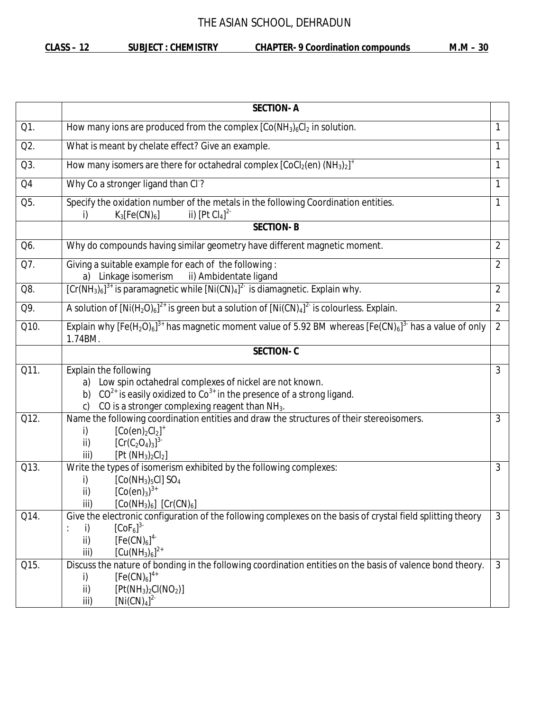**CLASS – 12 SUBJECT : CHEMISTRY CHAPTER- 9 Coordination compounds M.M – 30**

|      | <b>SECTION-A</b>                                                                                                                                                                                                        |                |  |  |
|------|-------------------------------------------------------------------------------------------------------------------------------------------------------------------------------------------------------------------------|----------------|--|--|
| Q1.  | How many ions are produced from the complex $[Co(NH3)6Cl2$ in solution.                                                                                                                                                 | 1              |  |  |
| Q2.  | What is meant by chelate effect? Give an example.<br>1                                                                                                                                                                  |                |  |  |
| Q3.  | How many isomers are there for octahedral complex $[CoCl2(en) (NH3)2]+$<br>1                                                                                                                                            |                |  |  |
| Q4   | Why Co a stronger ligand than CI?                                                                                                                                                                                       | 1              |  |  |
| Q5.  | Specify the oxidation number of the metals in the following Coordination entities.<br>ii) $[Pt Cl4]2$<br>$K_3[Fe(CN)_6]$<br>i)                                                                                          | 1              |  |  |
|      | <b>SECTION-B</b>                                                                                                                                                                                                        |                |  |  |
| Q6.  | Why do compounds having similar geometry have different magnetic moment.                                                                                                                                                | $\overline{2}$ |  |  |
| Q7.  | Giving a suitable example for each of the following:<br>a) Linkage isomerism ii) Ambidentate ligand                                                                                                                     | $\overline{2}$ |  |  |
| Q8.  | $[Cr(NH3)6]3+$ is paramagnetic while $[Ni(CN)4]2-$ is diamagnetic. Explain why.                                                                                                                                         | $\overline{2}$ |  |  |
| Q9.  | A solution of $[Ni(H_2O)_6]^{2+}$ is green but a solution of $[Ni(CN)_4]^{2-}$ is colourless. Explain.                                                                                                                  | $\overline{2}$ |  |  |
| Q10. | Explain why [Fe(H <sub>2</sub> O) <sub>6</sub> ] <sup>3+</sup> has magnetic moment value of 5.92 BM whereas [Fe(CN) <sub>6</sub> ] <sup>3-</sup> has a value of only<br>$\overline{2}$<br>1.74BM.                       |                |  |  |
|      | <b>SECTION-C</b>                                                                                                                                                                                                        |                |  |  |
| Q11. | Explain the following<br>a) Low spin octahedral complexes of nickel are not known.<br>$CO2+$ is easily oxidized to $Co3+$ in the presence of a strong ligand.<br>b)<br>CO is a stronger complexing reagent than $NH3$ . | 3              |  |  |
| Q12. | Name the following coordination entities and draw the structures of their stereoisomers.<br>$[Co(en)_2Cl_2]^+$<br>i)<br>$[Cr(C2O4)3]3$<br>ii)<br>[Pt (NH <sub>3</sub> ) <sub>2</sub> Cl <sub>2</sub> ]<br>iii)          | 3              |  |  |
| Q13. | Write the types of isomerism exhibited by the following complexes:<br>$[Co(NH3)5Cl]$ SO <sub>4</sub><br>i)<br>$[Co(en)_3]^{3+}$<br>ii)<br>$[Co(NH3)6]$ $[Cr(CN)6]$<br>iii)                                              | 3              |  |  |
| Q14. | Give the electronic configuration of the following complexes on the basis of crystal field splitting theory<br>$[CoF6]$ <sup>3-</sup><br>i)<br>[Fe(CN) <sub>6</sub> ] <sup>4</sup><br>ii)<br>$[Cu(NH3)6]2+$<br>iii)     | 3              |  |  |
| Q15. | Discuss the nature of bonding in the following coordination entities on the basis of valence bond theory.<br>$[Fe(CN)6]^{4+}$<br>i)<br>ii)<br>$[Pt(NH_3)_2Cl(NO_2)]$<br>$[Ni(CN)4]^{2}$<br>iii)                         | 3              |  |  |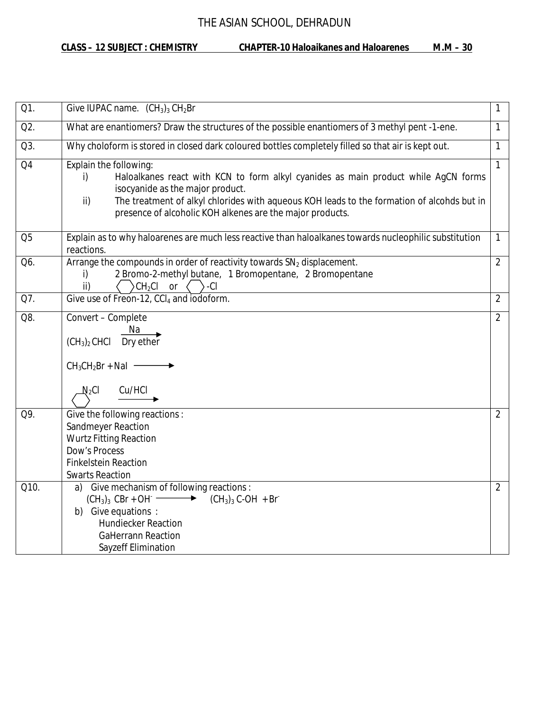**CLASS – 12 SUBJECT : CHEMISTRY CHAPTER-10 Haloaikanes and Haloarenes M.M – 30**

| Q1.             | Give IUPAC name. $(CH_3)_3 CH_2Br$                                                                                                                                                                                                                                                                                       | $\mathbf{1}$   |  |
|-----------------|--------------------------------------------------------------------------------------------------------------------------------------------------------------------------------------------------------------------------------------------------------------------------------------------------------------------------|----------------|--|
| Q2.             | What are enantiomers? Draw the structures of the possible enantiomers of 3 methyl pent -1-ene.                                                                                                                                                                                                                           | $\mathbf{1}$   |  |
| Q3.             | Why choloform is stored in closed dark coloured bottles completely filled so that air is kept out.<br>1                                                                                                                                                                                                                  |                |  |
| $\overline{Q4}$ | Explain the following:<br>Haloalkanes react with KCN to form alkyl cyanides as main product while AgCN forms<br>i)<br>isocyanide as the major product.<br>The treatment of alkyl chlorides with aqueous KOH leads to the formation of alcohds but in<br>ii)<br>presence of alcoholic KOH alkenes are the major products. | 1              |  |
| Q <sub>5</sub>  | Explain as to why haloarenes are much less reactive than haloalkanes towards nucleophilic substitution<br>reactions.                                                                                                                                                                                                     | $\mathbf{1}$   |  |
| Q6.             | Arrange the compounds in order of reactivity towards SN <sub>2</sub> displacement.<br>2 Bromo-2-methyl butane, 1 Bromopentane, 2 Bromopentane<br>i)<br>$CH_2Cl$<br>or $\langle \rangle$ -Cl<br>ii)                                                                                                                       | $\overline{2}$ |  |
| Q7.             | Give use of Freon-12, CCI <sub>4</sub> and iodoform.                                                                                                                                                                                                                                                                     | $\overline{2}$ |  |
| Q8.             | Convert - Complete<br>Na<br>$(CH3)2$ CHCl Dry ether<br>$CH_3CH_2Br + Nal$ —<br>Cu/HCI<br>$N_2$ CI                                                                                                                                                                                                                        | $\overline{2}$ |  |
| Q9.             | Give the following reactions :<br>Sandmeyer Reaction<br><b>Wurtz Fitting Reaction</b><br>Dow's Process<br><b>Finkelstein Reaction</b><br><b>Swarts Reaction</b>                                                                                                                                                          | 2              |  |
| Q10.            | a) Give mechanism of following reactions :<br>$(CH_3)_3$ CBr + OH $\longrightarrow$<br>$(CH_3)_3 C-OH + Br$<br>b) Give equations :<br><b>Hundiecker Reaction</b><br><b>GaHerrann Reaction</b><br>Sayzeff Elimination                                                                                                     | $\overline{2}$ |  |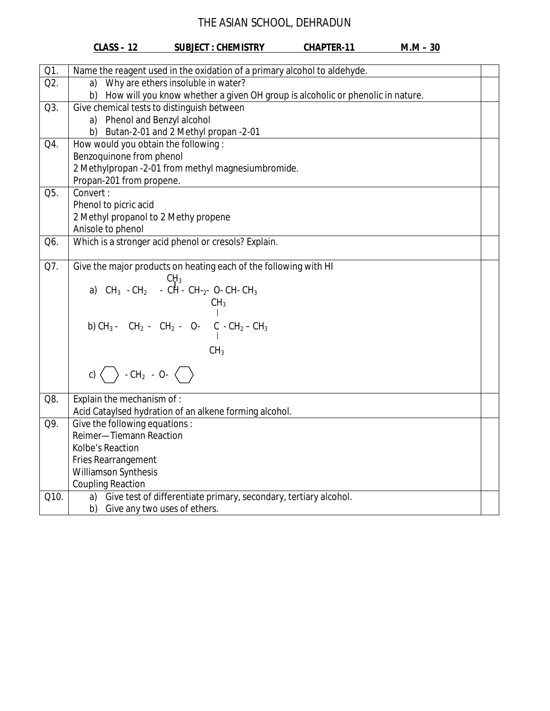|            | <b>CLASS-12</b>                                                                             | <b>SUBJECT: CHEMISTRY</b>                                        | <b>CHAPTER-11</b> | $M.M - 30$ |  |  |
|------------|---------------------------------------------------------------------------------------------|------------------------------------------------------------------|-------------------|------------|--|--|
|            | Name the reagent used in the oxidation of a primary alcohol to aldehyde.                    |                                                                  |                   |            |  |  |
| Q1.<br>Q2. | a) Why are ethers insoluble in water?                                                       |                                                                  |                   |            |  |  |
|            | How will you know whether a given OH group is alcoholic or phenolic in nature.<br>b)        |                                                                  |                   |            |  |  |
| Q3.        |                                                                                             | Give chemical tests to distinguish between                       |                   |            |  |  |
|            | a) Phenol and Benzyl alcohol                                                                |                                                                  |                   |            |  |  |
|            |                                                                                             | b) Butan-2-01 and 2 Methyl propan -2-01                          |                   |            |  |  |
| Q4.        | How would you obtain the following:                                                         |                                                                  |                   |            |  |  |
|            | Benzoquinone from phenol                                                                    |                                                                  |                   |            |  |  |
|            | 2 Methylpropan -2-01 from methyl magnesiumbromide.                                          |                                                                  |                   |            |  |  |
|            | Propan-201 from propene.                                                                    |                                                                  |                   |            |  |  |
| Q5.        | Convert:                                                                                    |                                                                  |                   |            |  |  |
|            | Phenol to picric acid                                                                       |                                                                  |                   |            |  |  |
|            | 2 Methyl propanol to 2 Methy propene                                                        |                                                                  |                   |            |  |  |
|            | Anisole to phenol                                                                           |                                                                  |                   |            |  |  |
| Q6.        |                                                                                             | Which is a stronger acid phenol or cresols? Explain.             |                   |            |  |  |
| Q7.        |                                                                                             |                                                                  |                   |            |  |  |
|            | Give the major products on heating each of the following with HI                            |                                                                  |                   |            |  |  |
|            | $CH_3$ CH <sub>3</sub> - CH <sub>2</sub> - CH - CH - <sub>2</sub> - O- CH - CH <sub>3</sub> |                                                                  |                   |            |  |  |
|            | CH <sub>3</sub>                                                                             |                                                                  |                   |            |  |  |
|            |                                                                                             |                                                                  |                   |            |  |  |
|            | b) $CH_3$ - $CH_2$ - $CH_2$ - O- $C_1$ - $CH_2$ - $CH_3$                                    |                                                                  |                   |            |  |  |
|            |                                                                                             |                                                                  |                   |            |  |  |
|            | CH <sub>3</sub>                                                                             |                                                                  |                   |            |  |  |
|            |                                                                                             |                                                                  |                   |            |  |  |
|            | c) $\langle \rangle$ - CH <sub>2</sub> - O- $\langle \rangle$                               |                                                                  |                   |            |  |  |
| Q8.        | Explain the mechanism of :                                                                  |                                                                  |                   |            |  |  |
|            |                                                                                             | Acid Cataylsed hydration of an alkene forming alcohol.           |                   |            |  |  |
| Q9.        | Give the following equations:                                                               |                                                                  |                   |            |  |  |
|            | Reimer-Tiemann Reaction                                                                     |                                                                  |                   |            |  |  |
|            | Kolbe's Reaction                                                                            |                                                                  |                   |            |  |  |
|            | Fries Rearrangement                                                                         |                                                                  |                   |            |  |  |
|            | Williamson Synthesis                                                                        |                                                                  |                   |            |  |  |
|            | <b>Coupling Reaction</b>                                                                    |                                                                  |                   |            |  |  |
| Q10.       | a)                                                                                          | Give test of differentiate primary, secondary, tertiary alcohol. |                   |            |  |  |
|            | Give any two uses of ethers.<br>b)                                                          |                                                                  |                   |            |  |  |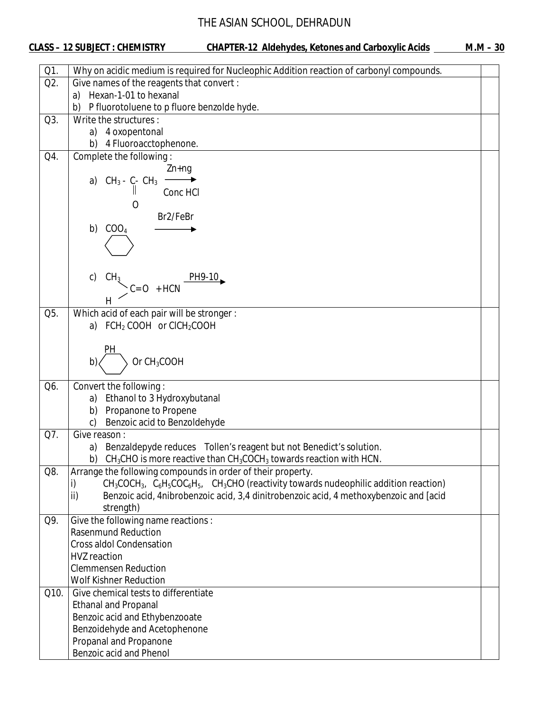| Q1.  | Why on acidic medium is required for Nucleophic Addition reaction of carbonyl compounds.                       |  |
|------|----------------------------------------------------------------------------------------------------------------|--|
| Q2.  | Give names of the reagents that convert :                                                                      |  |
|      | Hexan-1-01 to hexanal<br>a)                                                                                    |  |
|      | P fluorotoluene to p fluore benzolde hyde.<br>b)                                                               |  |
| Q3.  | Write the structures:                                                                                          |  |
|      | 4 oxopentonal<br>a)                                                                                            |  |
|      | 4 Fluoroacctophenone.<br>b)                                                                                    |  |
| Q4.  | Complete the following:                                                                                        |  |
|      | $Zn+ng$                                                                                                        |  |
|      | a) $CH_3 - C - CH_3$                                                                                           |  |
|      | Conc HCI                                                                                                       |  |
|      |                                                                                                                |  |
|      | Br2/FeBr                                                                                                       |  |
|      | COO <sub>4</sub><br>b)                                                                                         |  |
|      |                                                                                                                |  |
|      |                                                                                                                |  |
|      |                                                                                                                |  |
|      | c)                                                                                                             |  |
|      | $CH_3$<br>C= O + HCN PH9-10                                                                                    |  |
|      |                                                                                                                |  |
| Q5.  | Which acid of each pair will be stronger:                                                                      |  |
|      | a) FCH <sub>2</sub> COOH or CICH <sub>2</sub> COOH                                                             |  |
|      |                                                                                                                |  |
|      | PН                                                                                                             |  |
|      | Or CH <sub>3</sub> COOH<br>b)                                                                                  |  |
|      |                                                                                                                |  |
| Q6.  | Convert the following:                                                                                         |  |
|      | a) Ethanol to 3 Hydroxybutanal                                                                                 |  |
|      | Propanone to Propene<br>b)                                                                                     |  |
|      | Benzoic acid to Benzoldehyde<br>C)                                                                             |  |
| Q7.  | Give reason :                                                                                                  |  |
|      | a) Benzaldepyde reduces Tollen's reagent but not Benedict's solution.                                          |  |
|      | $CH3CHO$ is more reactive than $CH3COCH3$ towards reaction with HCN.<br>b)                                     |  |
| Q8.  | Arrange the following compounds in order of their property.                                                    |  |
|      | $CH_3COCH_3$ , $C_6H_5COC_6H_5$ , $CH_3CHO$ (reactivity towards nudeophilic addition reaction)<br>$\mathsf{i}$ |  |
|      | ii)<br>Benzoic acid, 4nibrobenzoic acid, 3,4 dinitrobenzoic acid, 4 methoxybenzoic and [acid                   |  |
|      | strength)                                                                                                      |  |
| Q9.  | Give the following name reactions :                                                                            |  |
|      | <b>Rasenmund Reduction</b>                                                                                     |  |
|      | <b>Cross aldol Condensation</b>                                                                                |  |
|      | <b>HVZ</b> reaction                                                                                            |  |
|      | <b>Clemmensen Reduction</b>                                                                                    |  |
|      | <b>Wolf Kishner Reduction</b>                                                                                  |  |
| Q10. | Give chemical tests to differentiate                                                                           |  |
|      | <b>Ethanal and Propanal</b>                                                                                    |  |
|      | Benzoic acid and Ethybenzooate                                                                                 |  |
|      | Benzoidehyde and Acetophenone                                                                                  |  |
|      | Propanal and Propanone                                                                                         |  |
|      | Benzoic acid and Phenol                                                                                        |  |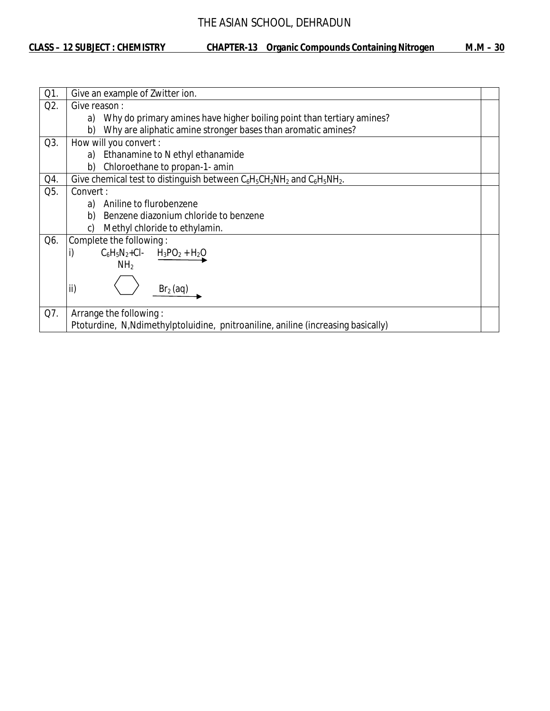| Q1. | Give an example of Zwitter ion.                                                   |  |
|-----|-----------------------------------------------------------------------------------|--|
| Q2. | Give reason:                                                                      |  |
|     | Why do primary amines have higher boiling point than tertiary amines?<br>a)       |  |
|     | Why are aliphatic amine stronger bases than aromatic amines?<br>b)                |  |
| Q3. | How will you convert :                                                            |  |
|     | Ethanamine to N ethyl ethanamide<br>a)                                            |  |
|     | b)<br>Chloroethane to propan-1- amin                                              |  |
| Q4. | Give chemical test to distinguish between $C_6H_5CH_2NH_2$ and $C_6H_5NH_2$ .     |  |
| Q5. | Convert:                                                                          |  |
|     | Aniline to flurobenzene<br>a)                                                     |  |
|     | Benzene diazonium chloride to benzene<br>b)                                       |  |
|     | Methyl chloride to ethylamin.<br>C)                                               |  |
| Q6. | Complete the following:                                                           |  |
|     | i)<br>$C_6H_5N_2+Cl$ - $H_3PO_2 + H_2O$                                           |  |
|     | NH <sub>2</sub>                                                                   |  |
|     |                                                                                   |  |
|     | ii)<br>$Br2$ (aq)                                                                 |  |
|     |                                                                                   |  |
| Q7. | Arrange the following:                                                            |  |
|     | Ptoturdine, N, Ndimethylptoluidine, pnitroaniline, aniline (increasing basically) |  |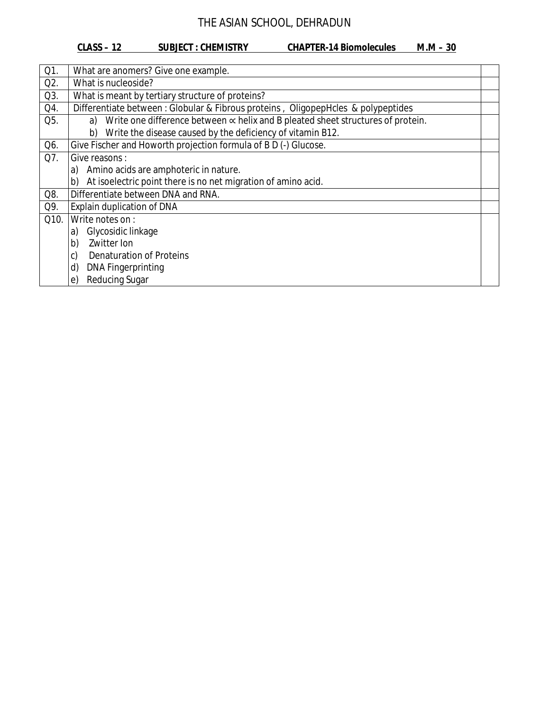#### **CLASS – 12 SUBJECT : CHEMISTRY CHAPTER-14 Biomolecules M.M – 30**

| Q1.  | What are anomers? Give one example.                                                           |  |
|------|-----------------------------------------------------------------------------------------------|--|
| Q2.  | What is nucleoside?                                                                           |  |
| Q3.  | What is meant by tertiary structure of proteins?                                              |  |
| Q4.  | Differentiate between : Globular & Fibrous proteins, OligopepHcles & polypeptides             |  |
| Q5.  | Write one difference between $\propto$ helix and B pleated sheet structures of protein.<br>a) |  |
|      | Write the disease caused by the deficiency of vitamin B12.<br>b)                              |  |
| Q6.  | Give Fischer and Howorth projection formula of B D (-) Glucose.                               |  |
| Q7.  | Give reasons :                                                                                |  |
|      | Amino acids are amphoteric in nature.<br>a)                                                   |  |
|      | At isoelectric point there is no net migration of amino acid.<br>b)                           |  |
| Q8.  | Differentiate between DNA and RNA.                                                            |  |
| Q9.  | Explain duplication of DNA                                                                    |  |
| Q10. | Write notes on:                                                                               |  |
|      | Glycosidic linkage<br>a)                                                                      |  |
|      | Zwitter Ion<br>b)                                                                             |  |
|      | c)<br>Denaturation of Proteins                                                                |  |
|      | d)<br><b>DNA Fingerprinting</b>                                                               |  |
|      | <b>Reducing Sugar</b><br>$\epsilon$                                                           |  |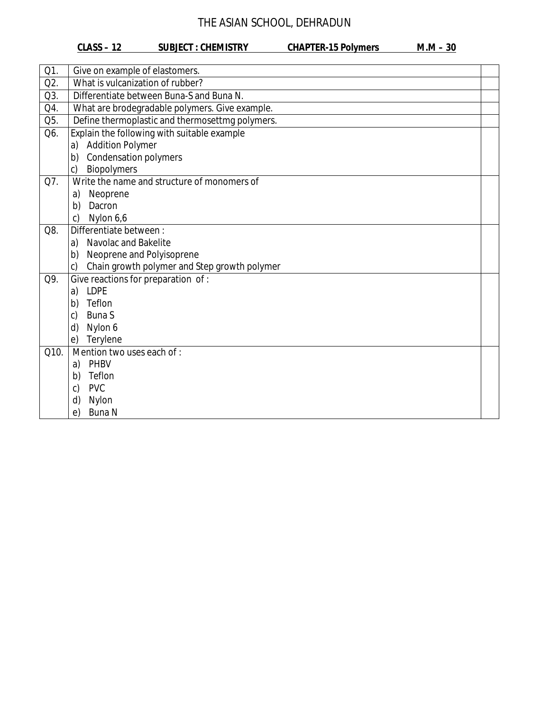#### **CLASS – 12 SUBJECT : CHEMISTRY CHAPTER-15 Polymers M.M – 30**

| Q1.  | Give on example of elastomers.                               |  |
|------|--------------------------------------------------------------|--|
| Q2.  | What is vulcanization of rubber?                             |  |
| Q3.  | Differentiate between Buna-S and Buna N.                     |  |
| Q4.  | What are brodegradable polymers. Give example.               |  |
| Q5.  | Define thermoplastic and thermosettmg polymers.              |  |
| Q6.  | Explain the following with suitable example                  |  |
|      | a) Addition Polymer                                          |  |
|      | <b>Condensation polymers</b><br>b)                           |  |
|      | Biopolymers<br>$\mathsf{C}$                                  |  |
| Q7.  | Write the name and structure of monomers of                  |  |
|      | Neoprene<br>a)                                               |  |
|      | b)<br>Dacron                                                 |  |
|      | Nylon 6,6<br>c)                                              |  |
| Q8.  | Differentiate between:                                       |  |
|      | a) Navolac and Bakelite                                      |  |
|      | b) Neoprene and Polyisoprene                                 |  |
|      | Chain growth polymer and Step growth polymer<br>$\mathsf{C}$ |  |
| Q9.  | Give reactions for preparation of :                          |  |
|      | a) LDPE                                                      |  |
|      | b)<br>Teflon                                                 |  |
|      | <b>Buna S</b><br>c)                                          |  |
|      | d)<br>Nylon 6                                                |  |
|      | Terylene<br>e)                                               |  |
| Q10. | Mention two uses each of :                                   |  |
|      | PHBV<br>a)                                                   |  |
|      | Teflon<br>b)                                                 |  |
|      | <b>PVC</b><br>c)                                             |  |
|      | d)<br>Nylon                                                  |  |
|      | <b>Buna N</b><br>e)                                          |  |